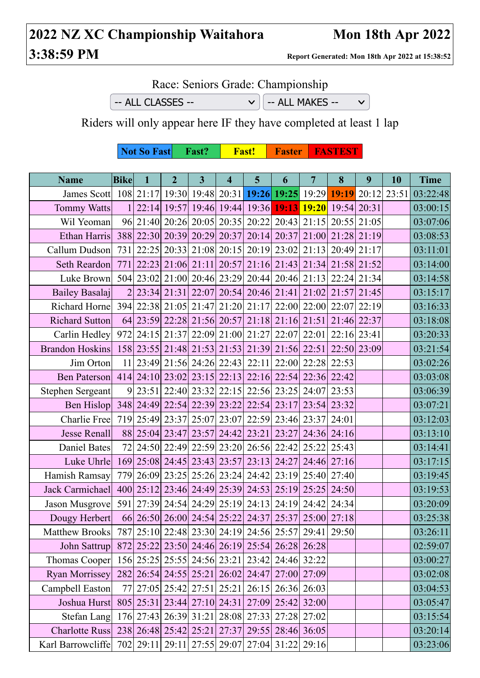## **2022 NZ XC Championship Waitahora Mon 18th Apr 2022 3:38:59 PM Report Generated: Mon 18th Apr 2022 at 15:38:52**

Race: Seniors Grade: Championship

 $-$  ALL CLASSES  $\vee$   $\Big|$   $-$  ALL MAKES  $-$ 

 $\vee$ 

Riders will only appear here IF they have completed at least 1 lap

**Not So Fast** Fast? Fast! Faster FASTEST

| <b>Name</b>                                                                                       | <b>Bike</b> | $\clubsuit$ | 2 <sup>1</sup> | 3 <sup>1</sup> | $\overline{\mathbf{4}}$ | 5 <sup>5</sup>                                                   | 6 | $7^{\circ}$ | 8 | 9 | <b>10</b> | <b>Time</b> |
|---------------------------------------------------------------------------------------------------|-------------|-------------|----------------|----------------|-------------------------|------------------------------------------------------------------|---|-------------|---|---|-----------|-------------|
| James Scott   108   21:17   19:30   19:48   20:31   19:26   19:25   19:29   19:19   20:12   23:51 |             |             |                |                |                         |                                                                  |   |             |   |   |           | 03:22:48    |
| <b>Tommy Watts</b>                                                                                |             |             |                |                |                         | 1  22:14  19:57  19:46  19:44  19:36  19:13  19:20  19:54  20:31 |   |             |   |   |           | 03:00:15    |
| Wil Yeoman                                                                                        |             |             |                |                |                         | 96 21:40 20:26 20:05 20:35 20:22 20:43 21:15 20:55 21:05         |   |             |   |   |           | 03:07:06    |
| Ethan Harris 388 22:30 20:39 20:29 20:37 20:14 20:37 21:00 21:28 21:19                            |             |             |                |                |                         |                                                                  |   |             |   |   |           | 03:08:53    |
| Callum Dudson                                                                                     |             |             |                |                |                         | 731 22:25 20:33 21:08 20:15 20:19 23:02 21:13 20:49 21:17        |   |             |   |   |           | 03:11:01    |
| Seth Reardon                                                                                      |             |             |                |                |                         | 771 22:23 21:06 21:11 20:57 21:16 21:43 21:34 21:58 21:52        |   |             |   |   |           | 03:14:00    |
| Luke Brown                                                                                        |             |             |                |                |                         | 504 23:02 21:00 20:46 23:29 20:44 20:46 21:13 22:24 21:34        |   |             |   |   |           | 03:14:58    |
| Bailey Basalaj                                                                                    |             |             |                |                |                         | 2 23:34 21:31 22:07 20:54 20:46 21:41 21:02 21:57 21:45          |   |             |   |   |           | 03:15:17    |
| Richard Horne 394 22:38 21:05 21:47 21:20 21:17 22:00 22:00 22:07 22:19                           |             |             |                |                |                         |                                                                  |   |             |   |   |           | 03:16:33    |
| Richard Sutton                                                                                    |             |             |                |                |                         | 64 23:59 22:28 21:56 20:57 21:18 21:16 21:51 21:46 22:37         |   |             |   |   |           | 03:18:08    |
| Carlin Hedley 972 24:15 21:37 22:09 21:00 21:27 22:07 22:01 22:16 23:41                           |             |             |                |                |                         |                                                                  |   |             |   |   |           | 03:20:33    |
| Brandon Hoskins 158 23:55 21:48 21:53 21:53 21:39 21:39 21:56 22:51 22:50 23:09                   |             |             |                |                |                         |                                                                  |   |             |   |   |           | 03:21:54    |
| Jim Orton                                                                                         |             |             |                |                |                         | 11 23:49 21:56 24:26 22:43 22:11 22:00 22:28 22:53               |   |             |   |   |           | 03:02:26    |
| Ben Paterson 414 24:10 23:02 23:15 22:13 22:16 22:54 22:36 22:42                                  |             |             |                |                |                         |                                                                  |   |             |   |   |           | 03:03:08    |
| Stephen Sergeant                                                                                  |             |             |                |                |                         | 9 23:51 22:40 23:32 22:15 22:56 23:25 24:07 23:53                |   |             |   |   |           | 03:06:39    |
| <b>Ben Hislop</b>                                                                                 |             |             |                |                |                         | 348 24:49 22:54 22:39 23:22 22:54 23:17 23:54 23:32              |   |             |   |   |           | 03:07:21    |
| <b>Charlie Free</b>                                                                               |             |             |                |                |                         | 719 25:49 23:37 25:07 23:07 22:59 23:46 23:37 24:01              |   |             |   |   |           | 03:12:03    |
| <b>Jesse Renall</b>                                                                               |             |             |                |                |                         | 88 25:04 23:47 23:57 24:42 23:21 23:27 24:36 24:16               |   |             |   |   |           | 03:13:10    |
| Daniel Bates                                                                                      |             |             |                |                |                         | 72 24:50 22:49 22:59 23:20 26:56 22:42 25:22 25:43               |   |             |   |   |           | 03:14:41    |
| Luke Uhrle                                                                                        |             |             |                |                |                         | 169 25:08 24:45 23:43 23:57 23:13 24:27 24:46 27:16              |   |             |   |   |           | 03:17:15    |
| Hamish Ramsay                                                                                     |             |             |                |                |                         | 779 26:09 23:25 25:26 23:24 24:42 23:19 25:40 27:40              |   |             |   |   |           | 03:19:45    |
| Jack Carmichael                                                                                   |             |             |                |                |                         | 400 25:12 23:46 24:49 25:39 24:53 25:19 25:25 24:50              |   |             |   |   |           | 03:19:53    |
| Jason Musgrove 591 27:39 24:54 24:29 25:19 24:13 24:19 24:42 24:34                                |             |             |                |                |                         |                                                                  |   |             |   |   |           | 03:20:09    |
| Dougy Herbert                                                                                     |             |             |                |                |                         | 66 26:50 26:00 24:54 25:22 24:37 25:37 25:00 27:18               |   |             |   |   |           | 03:25:38    |
| Matthew Brooks 787 25:10 22:48 23:30 24:19 24:56 25:57 29:41 29:50                                |             |             |                |                |                         |                                                                  |   |             |   |   |           | 03:26:11    |
| John Sattrup                                                                                      |             |             |                |                |                         | 872 25:22 23:50 24:46 26:19 25:54 26:28 26:28                    |   |             |   |   |           | 02:59:07    |
| Thomas Cooper                                                                                     |             |             |                |                |                         | 156 25:25 25:55 24:56 23:21 23:42 24:46 32:22                    |   |             |   |   |           | 03:00:27    |
| <b>Ryan Morrissey</b>                                                                             |             |             |                |                |                         | 282 26:54 24:55 25:21 26:02 24:47 27:00 27:09                    |   |             |   |   |           | 03:02:08    |
| Campbell Easton                                                                                   |             |             |                |                |                         | 77 27:05 25:42 27:51 25:21 26:15 26:36 26:03                     |   |             |   |   |           | 03:04:53    |
| Joshua Hurst                                                                                      |             |             |                |                |                         | 805 25:31 23:44 27:10 24:31 27:09 25:42 32:00                    |   |             |   |   |           | 03:05:47    |
| Stefan Lang                                                                                       |             |             |                |                |                         | 176 27:43 26:39 31:21 28:08 27:33 27:28 27:02                    |   |             |   |   |           | 03:15:54    |
| <b>Charlotte Russ</b>                                                                             |             |             |                |                |                         | 238 26:48 25:42 25:21 27:37 29:55 28:46 36:05                    |   |             |   |   |           | 03:20:14    |
| Karl Barrowcliffe                                                                                 |             |             |                |                |                         | 702 29:11 29:11 27:55 29:07 27:04 31:22 29:16                    |   |             |   |   |           | 03:23:06    |